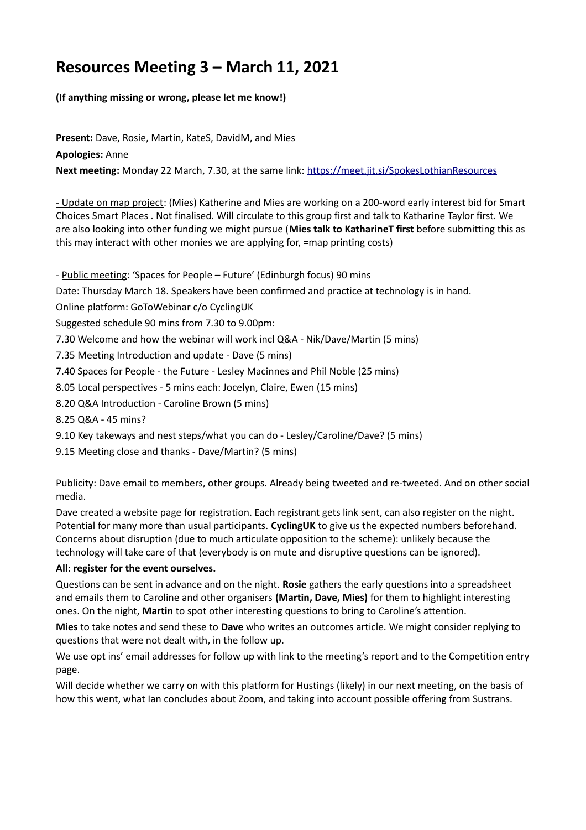## **Resources Meeting 3 – March 11, 2021**

## **(If anything missing or wrong, please let me know!)**

**Present:** Dave, Rosie, Martin, KateS, DavidM, and Mies **Apologies:** Anne **Next meeting:** Monday 22 March, 7.30, at the same link:<https://meet.jit.si/SpokesLothianResources>

- Update on map project: (Mies) Katherine and Mies are working on a 200-word early interest bid for Smart Choices Smart Places . Not finalised. Will circulate to this group first and talk to Katharine Taylor first. We are also looking into other funding we might pursue (**Mies talk to KatharineT first** before submitting this as this may interact with other monies we are applying for, =map printing costs)

- Public meeting: 'Spaces for People – Future' (Edinburgh focus) 90 mins

Date: Thursday March 18. Speakers have been confirmed and practice at technology is in hand.

Online platform: GoToWebinar c/o CyclingUK

Suggested schedule 90 mins from 7.30 to 9.00pm:

7.30 Welcome and how the webinar will work incl Q&A - Nik/Dave/Martin (5 mins)

7.35 Meeting Introduction and update - Dave (5 mins)

7.40 Spaces for People - the Future - Lesley Macinnes and Phil Noble (25 mins)

8.05 Local perspectives - 5 mins each: Jocelyn, Claire, Ewen (15 mins)

8.20 Q&A Introduction - Caroline Brown (5 mins)

8.25 Q&A - 45 mins?

9.10 Key takeways and nest steps/what you can do - Lesley/Caroline/Dave? (5 mins)

9.15 Meeting close and thanks - Dave/Martin? (5 mins)

Publicity: Dave email to members, other groups. Already being tweeted and re-tweeted. And on other social media.

Dave created a website page for registration. Each registrant gets link sent, can also register on the night. Potential for many more than usual participants. **CyclingUK** to give us the expected numbers beforehand. Concerns about disruption (due to much articulate opposition to the scheme): unlikely because the technology will take care of that (everybody is on mute and disruptive questions can be ignored).

## **All: register for the event ourselves.**

Questions can be sent in advance and on the night. **Rosie** gathers the early questions into a spreadsheet and emails them to Caroline and other organisers **(Martin, Dave, Mies)** for them to highlight interesting ones. On the night, **Martin** to spot other interesting questions to bring to Caroline's attention.

**Mies** to take notes and send these to **Dave** who writes an outcomes article. We might consider replying to questions that were not dealt with, in the follow up.

We use opt ins' email addresses for follow up with link to the meeting's report and to the Competition entry page.

Will decide whether we carry on with this platform for Hustings (likely) in our next meeting, on the basis of how this went, what Ian concludes about Zoom, and taking into account possible offering from Sustrans.